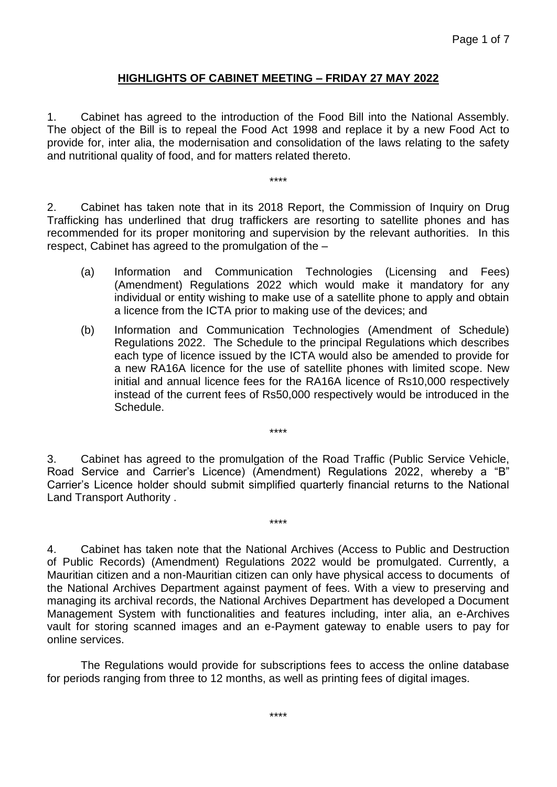## **HIGHLIGHTS OF CABINET MEETING – FRIDAY 27 MAY 2022**

1. Cabinet has agreed to the introduction of the Food Bill into the National Assembly. The object of the Bill is to repeal the Food Act 1998 and replace it by a new Food Act to provide for, inter alia, the modernisation and consolidation of the laws relating to the safety and nutritional quality of food, and for matters related thereto.

\*\*\*\*

2. Cabinet has taken note that in its 2018 Report, the Commission of Inquiry on Drug Trafficking has underlined that drug traffickers are resorting to satellite phones and has recommended for its proper monitoring and supervision by the relevant authorities. In this respect, Cabinet has agreed to the promulgation of the –

- (a) Information and Communication Technologies (Licensing and Fees) (Amendment) Regulations 2022 which would make it mandatory for any individual or entity wishing to make use of a satellite phone to apply and obtain a licence from the ICTA prior to making use of the devices; and
- (b) Information and Communication Technologies (Amendment of Schedule) Regulations 2022. The Schedule to the principal Regulations which describes each type of licence issued by the ICTA would also be amended to provide for a new RA16A licence for the use of satellite phones with limited scope. New initial and annual licence fees for the RA16A licence of Rs10,000 respectively instead of the current fees of Rs50,000 respectively would be introduced in the Schedule.

3. Cabinet has agreed to the promulgation of the Road Traffic (Public Service Vehicle, Road Service and Carrier's Licence) (Amendment) Regulations 2022, whereby a "B" Carrier's Licence holder should submit simplified quarterly financial returns to the National Land Transport Authority .

\*\*\*\*

\*\*\*\*

4. Cabinet has taken note that the National Archives (Access to Public and Destruction of Public Records) (Amendment) Regulations 2022 would be promulgated. Currently, a Mauritian citizen and a non-Mauritian citizen can only have physical access to documents of the National Archives Department against payment of fees. With a view to preserving and managing its archival records, the National Archives Department has developed a Document Management System with functionalities and features including, inter alia, an e-Archives vault for storing scanned images and an e-Payment gateway to enable users to pay for online services.

The Regulations would provide for subscriptions fees to access the online database for periods ranging from three to 12 months, as well as printing fees of digital images.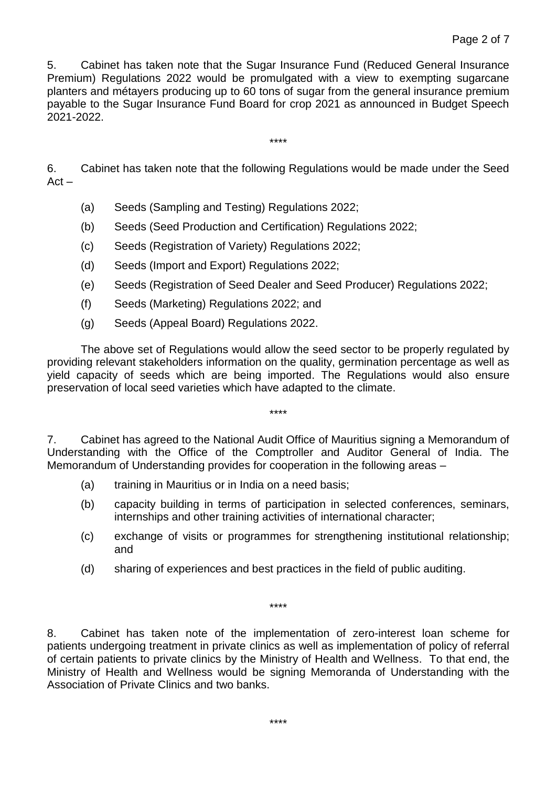5. Cabinet has taken note that the Sugar Insurance Fund (Reduced General Insurance Premium) Regulations 2022 would be promulgated with a view to exempting sugarcane planters and métayers producing up to 60 tons of sugar from the general insurance premium payable to the Sugar Insurance Fund Board for crop 2021 as announced in Budget Speech 2021-2022.

6. Cabinet has taken note that the following Regulations would be made under the Seed  $Act -$ 

\*\*\*\*

- (a) Seeds (Sampling and Testing) Regulations 2022;
- (b) Seeds (Seed Production and Certification) Regulations 2022;
- (c) Seeds (Registration of Variety) Regulations 2022;
- (d) Seeds (Import and Export) Regulations 2022;
- (e) Seeds (Registration of Seed Dealer and Seed Producer) Regulations 2022;
- (f) Seeds (Marketing) Regulations 2022; and
- (g) Seeds (Appeal Board) Regulations 2022.

The above set of Regulations would allow the seed sector to be properly regulated by providing relevant stakeholders information on the quality, germination percentage as well as yield capacity of seeds which are being imported. The Regulations would also ensure preservation of local seed varieties which have adapted to the climate.

7. Cabinet has agreed to the National Audit Office of Mauritius signing a Memorandum of Understanding with the Office of the Comptroller and Auditor General of India. The Memorandum of Understanding provides for cooperation in the following areas –

\*\*\*\*

- (a) training in Mauritius or in India on a need basis;
- (b) capacity building in terms of participation in selected conferences, seminars, internships and other training activities of international character;
- (c) exchange of visits or programmes for strengthening institutional relationship; and
- (d) sharing of experiences and best practices in the field of public auditing.

\*\*\*\*

8. Cabinet has taken note of the implementation of zero-interest loan scheme for patients undergoing treatment in private clinics as well as implementation of policy of referral of certain patients to private clinics by the Ministry of Health and Wellness. To that end, the Ministry of Health and Wellness would be signing Memoranda of Understanding with the Association of Private Clinics and two banks.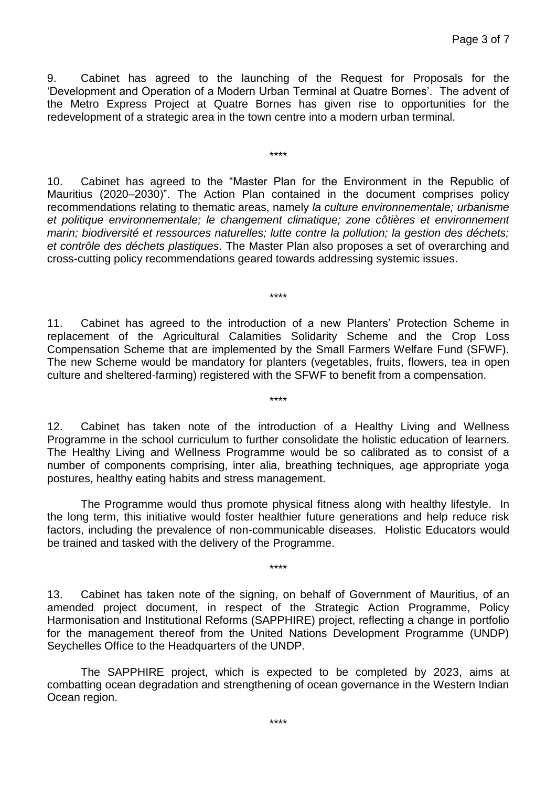9. Cabinet has agreed to the launching of the Request for Proposals for the 'Development and Operation of a Modern Urban Terminal at Quatre Bornes'. The advent of the Metro Express Project at Quatre Bornes has given rise to opportunities for the redevelopment of a strategic area in the town centre into a modern urban terminal.

\*\*\*\*

10. Cabinet has agreed to the "Master Plan for the Environment in the Republic of Mauritius (2020–2030)". The Action Plan contained in the document comprises policy recommendations relating to thematic areas, namely *la culture environnementale; urbanisme et politique environnementale; le changement climatique; zone côtières et environnement marin; biodiversité et ressources naturelles; lutte contre la pollution; la gestion des déchets; et contrôle des déchets plastiques*. The Master Plan also proposes a set of overarching and cross-cutting policy recommendations geared towards addressing systemic issues.

\*\*\*\*

11. Cabinet has agreed to the introduction of a new Planters' Protection Scheme in replacement of the Agricultural Calamities Solidarity Scheme and the Crop Loss Compensation Scheme that are implemented by the Small Farmers Welfare Fund (SFWF). The new Scheme would be mandatory for planters (vegetables, fruits, flowers, tea in open culture and sheltered-farming) registered with the SFWF to benefit from a compensation.

\*\*\*\*

12. Cabinet has taken note of the introduction of a Healthy Living and Wellness Programme in the school curriculum to further consolidate the holistic education of learners. The Healthy Living and Wellness Programme would be so calibrated as to consist of a number of components comprising, inter alia, breathing techniques, age appropriate yoga postures, healthy eating habits and stress management.

The Programme would thus promote physical fitness along with healthy lifestyle. In the long term, this initiative would foster healthier future generations and help reduce risk factors, including the prevalence of non-communicable diseases. Holistic Educators would be trained and tasked with the delivery of the Programme.

\*\*\*\*

13. Cabinet has taken note of the signing, on behalf of Government of Mauritius, of an amended project document, in respect of the Strategic Action Programme, Policy Harmonisation and Institutional Reforms (SAPPHIRE) project, reflecting a change in portfolio for the management thereof from the United Nations Development Programme (UNDP) Seychelles Office to the Headquarters of the UNDP.

The SAPPHIRE project, which is expected to be completed by 2023, aims at combatting ocean degradation and strengthening of ocean governance in the Western Indian Ocean region.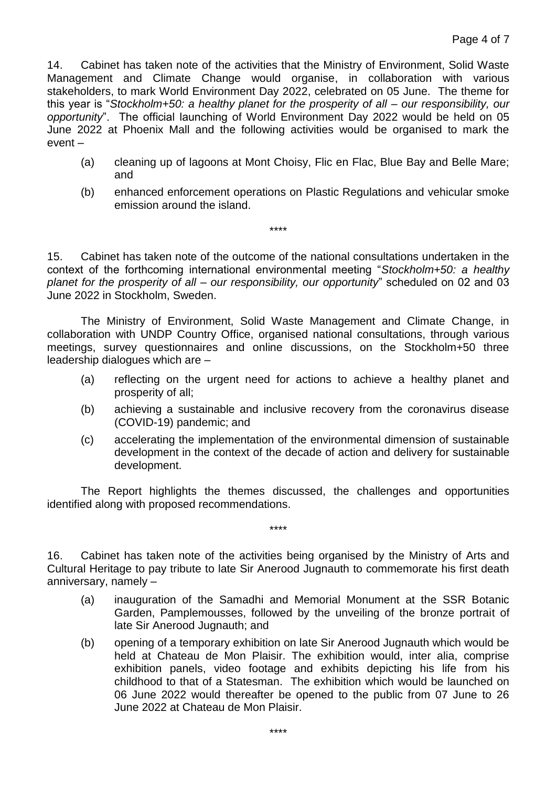14. Cabinet has taken note of the activities that the Ministry of Environment, Solid Waste Management and Climate Change would organise, in collaboration with various stakeholders, to mark World Environment Day 2022, celebrated on 05 June. The theme for this year is "*Stockholm+50: a healthy planet for the prosperity of all – our responsibility, our opportunity*". The official launching of World Environment Day 2022 would be held on 05 June 2022 at Phoenix Mall and the following activities would be organised to mark the event –

- (a) cleaning up of lagoons at Mont Choisy, Flic en Flac, Blue Bay and Belle Mare; and
- (b) enhanced enforcement operations on Plastic Regulations and vehicular smoke emission around the island.

15. Cabinet has taken note of the outcome of the national consultations undertaken in the context of the forthcoming international environmental meeting "*Stockholm+50: a healthy planet for the prosperity of all – our responsibility, our opportunity*" scheduled on 02 and 03 June 2022 in Stockholm, Sweden.

\*\*\*\*

The Ministry of Environment, Solid Waste Management and Climate Change, in collaboration with UNDP Country Office, organised national consultations, through various meetings, survey questionnaires and online discussions, on the Stockholm+50 three leadership dialogues which are –

- (a) reflecting on the urgent need for actions to achieve a healthy planet and prosperity of all;
- (b) achieving a sustainable and inclusive recovery from the coronavirus disease (COVID-19) pandemic; and
- (c) accelerating the implementation of the environmental dimension of sustainable development in the context of the decade of action and delivery for sustainable development.

The Report highlights the themes discussed, the challenges and opportunities identified along with proposed recommendations.

\*\*\*\*

16. Cabinet has taken note of the activities being organised by the Ministry of Arts and Cultural Heritage to pay tribute to late Sir Anerood Jugnauth to commemorate his first death anniversary, namely –

- (a) inauguration of the Samadhi and Memorial Monument at the SSR Botanic Garden, Pamplemousses, followed by the unveiling of the bronze portrait of late Sir Anerood Jugnauth; and
- (b) opening of a temporary exhibition on late Sir Anerood Jugnauth which would be held at Chateau de Mon Plaisir. The exhibition would, inter alia, comprise exhibition panels, video footage and exhibits depicting his life from his childhood to that of a Statesman. The exhibition which would be launched on 06 June 2022 would thereafter be opened to the public from 07 June to 26 June 2022 at Chateau de Mon Plaisir.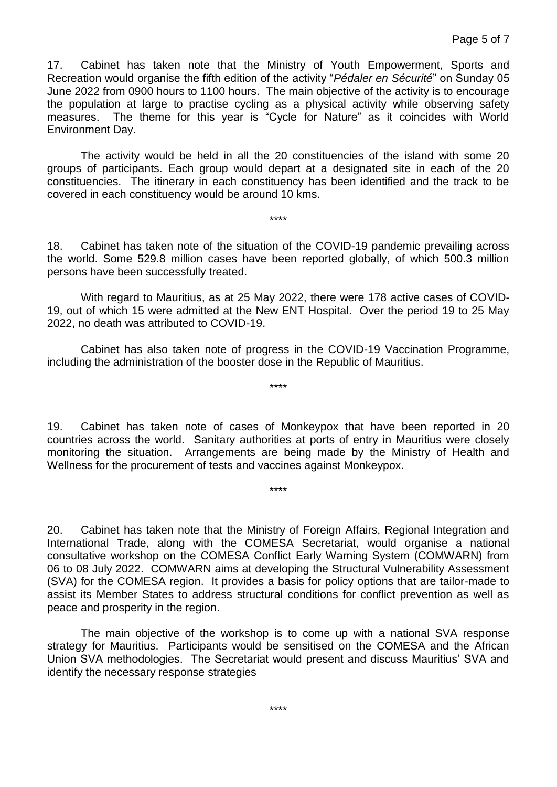17. Cabinet has taken note that the Ministry of Youth Empowerment, Sports and Recreation would organise the fifth edition of the activity "*Pédaler en Sécurité*" on Sunday 05 June 2022 from 0900 hours to 1100 hours. The main objective of the activity is to encourage the population at large to practise cycling as a physical activity while observing safety measures. The theme for this year is "Cycle for Nature" as it coincides with World Environment Day.

The activity would be held in all the 20 constituencies of the island with some 20 groups of participants. Each group would depart at a designated site in each of the 20 constituencies. The itinerary in each constituency has been identified and the track to be covered in each constituency would be around 10 kms.

18. Cabinet has taken note of the situation of the COVID-19 pandemic prevailing across the world. Some 529.8 million cases have been reported globally, of which 500.3 million persons have been successfully treated.

\*\*\*\*

With regard to Mauritius, as at 25 May 2022, there were 178 active cases of COVID-19, out of which 15 were admitted at the New ENT Hospital. Over the period 19 to 25 May 2022, no death was attributed to COVID-19.

Cabinet has also taken note of progress in the COVID-19 Vaccination Programme, including the administration of the booster dose in the Republic of Mauritius.

\*\*\*\*

19. Cabinet has taken note of cases of Monkeypox that have been reported in 20 countries across the world. Sanitary authorities at ports of entry in Mauritius were closely monitoring the situation. Arrangements are being made by the Ministry of Health and Wellness for the procurement of tests and vaccines against Monkeypox.

\*\*\*\*

20. Cabinet has taken note that the Ministry of Foreign Affairs, Regional Integration and International Trade, along with the COMESA Secretariat, would organise a national consultative workshop on the COMESA Conflict Early Warning System (COMWARN) from 06 to 08 July 2022. COMWARN aims at developing the Structural Vulnerability Assessment (SVA) for the COMESA region. It provides a basis for policy options that are tailor-made to assist its Member States to address structural conditions for conflict prevention as well as peace and prosperity in the region.

The main objective of the workshop is to come up with a national SVA response strategy for Mauritius. Participants would be sensitised on the COMESA and the African Union SVA methodologies. The Secretariat would present and discuss Mauritius' SVA and identify the necessary response strategies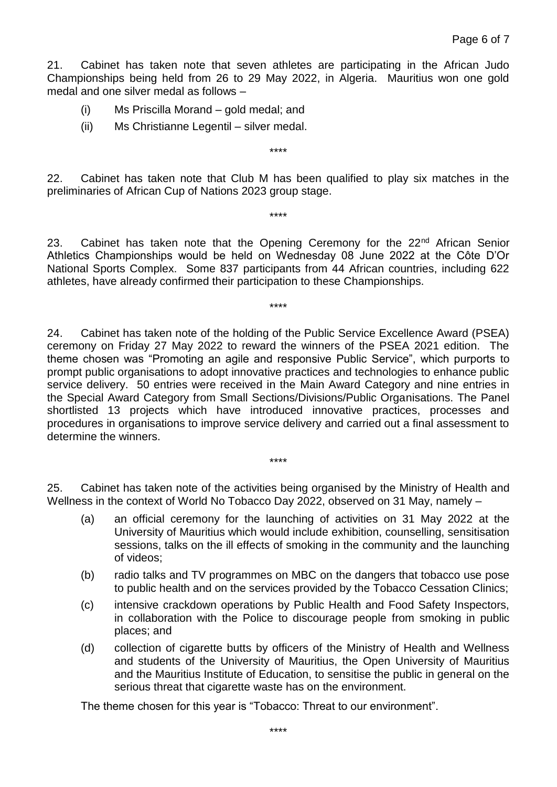21. Cabinet has taken note that seven athletes are participating in the African Judo Championships being held from 26 to 29 May 2022, in Algeria. Mauritius won one gold medal and one silver medal as follows –

- (i) Ms Priscilla Morand gold medal; and
- (ii) Ms Christianne Legentil silver medal.

22. Cabinet has taken note that Club M has been qualified to play six matches in the preliminaries of African Cup of Nations 2023 group stage.

\*\*\*\*

\*\*\*\*

23. Cabinet has taken note that the Opening Ceremony for the 22<sup>nd</sup> African Senior Athletics Championships would be held on Wednesday 08 June 2022 at the Côte D'Or National Sports Complex. Some 837 participants from 44 African countries, including 622 athletes, have already confirmed their participation to these Championships.

\*\*\*\*

24. Cabinet has taken note of the holding of the Public Service Excellence Award (PSEA) ceremony on Friday 27 May 2022 to reward the winners of the PSEA 2021 edition. The theme chosen was "Promoting an agile and responsive Public Service", which purports to prompt public organisations to adopt innovative practices and technologies to enhance public service delivery. 50 entries were received in the Main Award Category and nine entries in the Special Award Category from Small Sections/Divisions/Public Organisations. The Panel shortlisted 13 projects which have introduced innovative practices, processes and procedures in organisations to improve service delivery and carried out a final assessment to determine the winners.

25. Cabinet has taken note of the activities being organised by the Ministry of Health and Wellness in the context of World No Tobacco Day 2022, observed on 31 May, namely –

\*\*\*\*

- (a) an official ceremony for the launching of activities on 31 May 2022 at the University of Mauritius which would include exhibition, counselling, sensitisation sessions, talks on the ill effects of smoking in the community and the launching of videos;
- (b) radio talks and TV programmes on MBC on the dangers that tobacco use pose to public health and on the services provided by the Tobacco Cessation Clinics;
- (c) intensive crackdown operations by Public Health and Food Safety Inspectors, in collaboration with the Police to discourage people from smoking in public places; and
- (d) collection of cigarette butts by officers of the Ministry of Health and Wellness and students of the University of Mauritius, the Open University of Mauritius and the Mauritius Institute of Education, to sensitise the public in general on the serious threat that cigarette waste has on the environment.

The theme chosen for this year is "Tobacco: Threat to our environment".